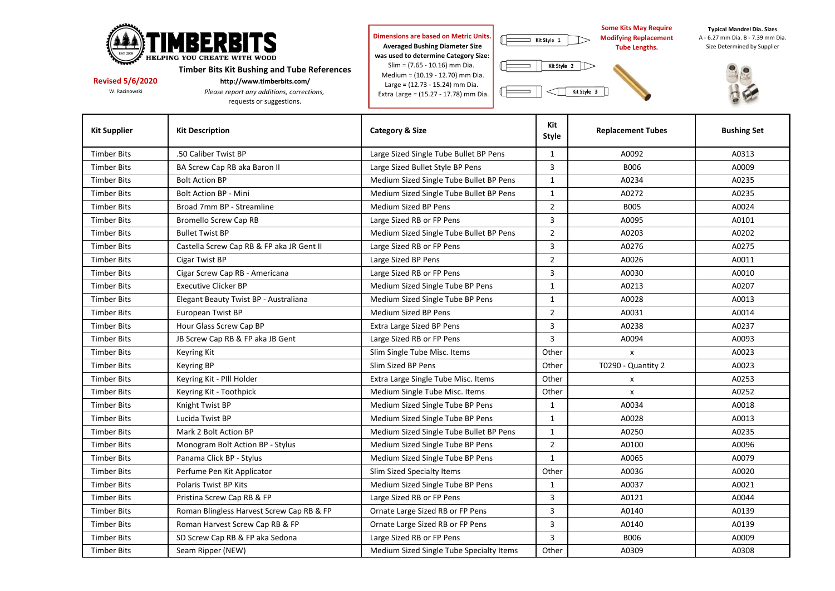

**Revised 5/6/2020 http://www.timberbits.com/**<br>W. Racinowski *Please report any additions. correction***ly** *Please report any additions. correction* 

 $P$ *lease report any additions, corrections,* requests or suggestions.

 **Dimensions are based on Metric Units. Averaged Bushing Diameter Size was used to determine Category Size:** Slim = (7.65 - 10.16) mm Dia. Medium = (10.19 - 12.70) mm Dia. Large = (12.73 - 15.24) mm Dia.

Æ

 $\equiv$  Kit Style 1

Kit Style 2

Kit Style 3

Extra Large = (15.27 - 17.78) mm Dia.

 **Some Kits May Require Modifying Replacement Tube Lengths.** 

**Typical Mandrel Dia. Sizes**

A - 6.27 mm Dia. B - 7.39 mm Dia. Size Determined by Supplier



| <b>Kit Supplier</b> | <b>Kit Description</b>                    | <b>Category &amp; Size</b>               | Kit<br>Style   | <b>Replacement Tubes</b> | <b>Bushing Set</b> |  |  |
|---------------------|-------------------------------------------|------------------------------------------|----------------|--------------------------|--------------------|--|--|
| <b>Timber Bits</b>  | .50 Caliber Twist BP                      | Large Sized Single Tube Bullet BP Pens   | 1              | A0092                    | A0313              |  |  |
| <b>Timber Bits</b>  | BA Screw Cap RB aka Baron II              | Large Sized Bullet Style BP Pens         | 3              | <b>B006</b>              | A0009              |  |  |
| <b>Timber Bits</b>  | <b>Bolt Action BP</b>                     | Medium Sized Single Tube Bullet BP Pens  | $\mathbf{1}$   | A0234                    | A0235              |  |  |
| <b>Timber Bits</b>  | <b>Bolt Action BP - Mini</b>              | Medium Sized Single Tube Bullet BP Pens  | $\mathbf{1}$   | A0272                    | A0235              |  |  |
| <b>Timber Bits</b>  | Broad 7mm BP - Streamline                 | Medium Sized BP Pens                     | $\overline{2}$ | <b>B005</b>              | A0024              |  |  |
| <b>Timber Bits</b>  | <b>Bromello Screw Cap RB</b>              | Large Sized RB or FP Pens                | 3              | A0095                    | A0101              |  |  |
| <b>Timber Bits</b>  | <b>Bullet Twist BP</b>                    | Medium Sized Single Tube Bullet BP Pens  | $\overline{2}$ | A0203                    | A0202              |  |  |
| <b>Timber Bits</b>  | Castella Screw Cap RB & FP aka JR Gent II | Large Sized RB or FP Pens                | 3              | A0276                    | A0275              |  |  |
| <b>Timber Bits</b>  | Cigar Twist BP                            | Large Sized BP Pens                      | $\overline{2}$ | A0026                    | A0011              |  |  |
| <b>Timber Bits</b>  | Cigar Screw Cap RB - Americana            | Large Sized RB or FP Pens                | 3              | A0030                    | A0010              |  |  |
| <b>Timber Bits</b>  | <b>Executive Clicker BP</b>               | Medium Sized Single Tube BP Pens         | $\mathbf{1}$   | A0213                    | A0207              |  |  |
| <b>Timber Bits</b>  | Elegant Beauty Twist BP - Australiana     | Medium Sized Single Tube BP Pens         | $\mathbf{1}$   | A0028                    | A0013              |  |  |
| <b>Timber Bits</b>  | European Twist BP                         | Medium Sized BP Pens                     | $\overline{2}$ | A0031                    | A0014              |  |  |
| <b>Timber Bits</b>  | Hour Glass Screw Cap BP                   | Extra Large Sized BP Pens                | 3              | A0238                    | A0237              |  |  |
| <b>Timber Bits</b>  | JB Screw Cap RB & FP aka JB Gent          | Large Sized RB or FP Pens                | 3              | A0094                    | A0093              |  |  |
| <b>Timber Bits</b>  | Keyring Kit                               | Slim Single Tube Misc. Items             | Other          | $\pmb{\mathsf{x}}$       | A0023              |  |  |
| <b>Timber Bits</b>  | Keyring BP                                | Slim Sized BP Pens                       | Other          | T0290 - Quantity 2       | A0023              |  |  |
| <b>Timber Bits</b>  | Keyring Kit - PIII Holder                 | Extra Large Single Tube Misc. Items      | Other          | X                        | A0253              |  |  |
| <b>Timber Bits</b>  | Keyring Kit - Toothpick                   | Medium Single Tube Misc. Items           | Other          | X                        | A0252              |  |  |
| <b>Timber Bits</b>  | Knight Twist BP                           | Medium Sized Single Tube BP Pens         | $\mathbf{1}$   | A0034                    | A0018              |  |  |
| <b>Timber Bits</b>  | Lucida Twist BP                           | Medium Sized Single Tube BP Pens         | $\mathbf{1}$   | A0028                    | A0013              |  |  |
| <b>Timber Bits</b>  | Mark 2 Bolt Action BP                     | Medium Sized Single Tube Bullet BP Pens  | $\mathbf{1}$   | A0250                    | A0235              |  |  |
| <b>Timber Bits</b>  | Monogram Bolt Action BP - Stylus          | Medium Sized Single Tube BP Pens         | $\overline{2}$ | A0100                    | A0096              |  |  |
| <b>Timber Bits</b>  | Panama Click BP - Stylus                  | Medium Sized Single Tube BP Pens         | $\mathbf{1}$   | A0065                    | A0079              |  |  |
| <b>Timber Bits</b>  | Perfume Pen Kit Applicator                | Slim Sized Specialty Items               | Other          | A0036                    | A0020              |  |  |
| <b>Timber Bits</b>  | Polaris Twist BP Kits                     | Medium Sized Single Tube BP Pens         | 1              | A0037                    | A0021              |  |  |
| <b>Timber Bits</b>  | Pristina Screw Cap RB & FP                | Large Sized RB or FP Pens                | $\overline{3}$ | A0121                    | A0044              |  |  |
| <b>Timber Bits</b>  | Roman Blingless Harvest Screw Cap RB & FP | Ornate Large Sized RB or FP Pens         | 3              | A0140                    | A0139              |  |  |
| <b>Timber Bits</b>  | Roman Harvest Screw Cap RB & FP           | Ornate Large Sized RB or FP Pens         | 3              | A0140                    | A0139              |  |  |
| <b>Timber Bits</b>  | SD Screw Cap RB & FP aka Sedona           | Large Sized RB or FP Pens                | 3              | <b>B006</b>              | A0009              |  |  |
| <b>Timber Bits</b>  | Seam Ripper (NEW)                         | Medium Sized Single Tube Specialty Items | Other          | A0309                    | A0308              |  |  |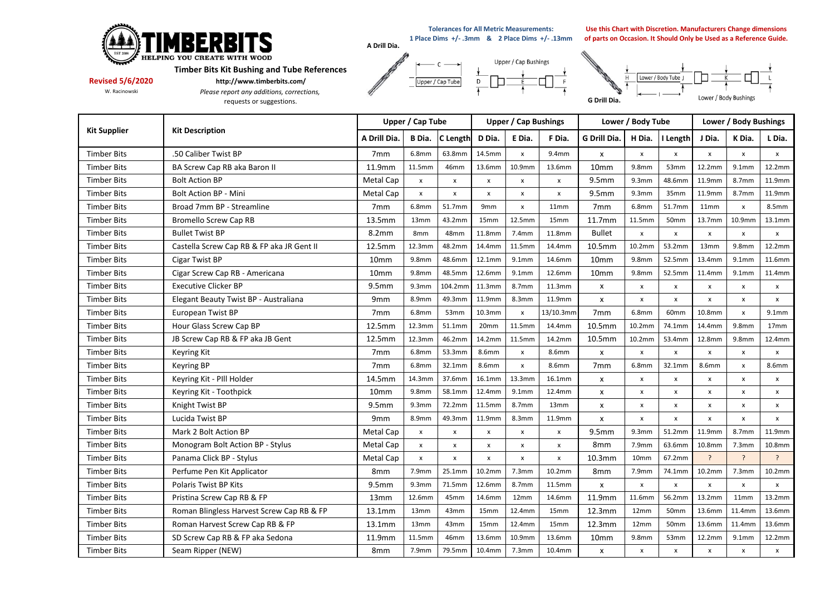

**Tolerances for All Metric Measurements:** 

**1 Place Dims +/- .3mm & 2 Place Dims +/- .13mm**

 $F$ 

**Use this Chart with Discretion. Manufacturers Change dimensions of parts on Occasion. It Should Only be Used as a Reference Guide.**

**Timber Bits Kit Bushing and Tube References** 

**Revised 5/6/2020 http://www.timberbits.com/**<br>W. Racinowski *Please report any additions, correct.* 

 $P$ *lease report any additions, corrections,* requests or suggestions.





| <b>Kit Supplier</b> | <b>Kit Description</b>                    | Upper / Cap Tube  |                   |                    | <b>Upper / Cap Bushings</b> |                    |                    | Lower / Body Tube  |                           |              | Lower / Body Bushings |                           |                    |
|---------------------|-------------------------------------------|-------------------|-------------------|--------------------|-----------------------------|--------------------|--------------------|--------------------|---------------------------|--------------|-----------------------|---------------------------|--------------------|
|                     |                                           | A Drill Dia.      | B Dia.            | <b>C</b> Length    | D Dia.                      | E Dia.             | F Dia.             | G Drill Dia.       | H Dia.                    | I Length     | J Dia.                | K Dia.                    | L Dia.             |
| <b>Timber Bits</b>  | .50 Caliber Twist BP                      | 7 <sub>mm</sub>   | 6.8mm             | 63.8mm             | 14.5mm                      | x                  | 9.4mm              | X                  | x                         | x            | x                     | x                         | $\mathsf{x}$       |
| <b>Timber Bits</b>  | BA Screw Cap RB aka Baron II              | 11.9mm            | 11.5mm            | 46mm               | 13.6mm                      | 10.9mm             | 13.6mm             | 10mm               | 9.8 <sub>mm</sub>         | 53mm         | 12.2mm                | 9.1 <sub>mm</sub>         | 12.2mm             |
| <b>Timber Bits</b>  | <b>Bolt Action BP</b>                     | Metal Cap         | $\mathsf{x}$      | $\pmb{\mathsf{x}}$ | $\pmb{\mathsf{x}}$          | $\pmb{\mathsf{x}}$ | $\pmb{\mathsf{x}}$ | 9.5 <sub>mm</sub>  | 9.3mm                     | 48.6mm       | 11.9mm                | 8.7mm                     | 11.9mm             |
| <b>Timber Bits</b>  | <b>Bolt Action BP - Mini</b>              | Metal Cap         | X                 | $\pmb{\times}$     | $\pmb{\chi}$                | $\pmb{\chi}$       | $\pmb{\mathsf{x}}$ | 9.5mm              | 9.3mm                     | 35mm         | 11.9mm                | 8.7mm                     | 11.9mm             |
| <b>Timber Bits</b>  | Broad 7mm BP - Streamline                 | 7 <sub>mm</sub>   | 6.8mm             | 51.7mm             | 9mm                         | x                  | 11mm               | 7 <sub>mm</sub>    | 6.8mm                     | 51.7mm       | 11mm                  | x                         | 8.5mm              |
| <b>Timber Bits</b>  | <b>Bromello Screw Cap RB</b>              | 13.5mm            | 13mm              | 43.2mm             | 15mm                        | 12.5mm             | 15mm               | 11.7mm             | 11.5mm                    | 50mm         | 13.7mm                | 10.9mm                    | 13.1mm             |
| <b>Timber Bits</b>  | <b>Bullet Twist BP</b>                    | 8.2mm             | 8mm               | 48mm               | 11.8mm                      | 7.4mm              | 11.8mm             | <b>Bullet</b>      | x                         | x            | x                     | $\pmb{\times}$            | $\pmb{\mathsf{x}}$ |
| <b>Timber Bits</b>  | Castella Screw Cap RB & FP aka JR Gent II | 12.5mm            | 12.3mm            | 48.2mm             | 14.4mm                      | 11.5mm             | 14.4mm             | 10.5mm             | 10.2mm                    | 53.2mm       | 13mm                  | 9.8mm                     | 12.2mm             |
| <b>Timber Bits</b>  | Cigar Twist BP                            | 10 <sub>mm</sub>  | 9.8 <sub>mm</sub> | 48.6mm             | 12.1mm                      | 9.1 <sub>mm</sub>  | 14.6mm             | 10 <sub>mm</sub>   | 9.8 <sub>mm</sub>         | 52.5mm       | 13.4mm                | 9.1 <sub>mm</sub>         | 11.6mm             |
| <b>Timber Bits</b>  | Cigar Screw Cap RB - Americana            | 10 <sub>mm</sub>  | 9.8mm             | 48.5mm             | 12.6mm                      | 9.1mm              | 12.6mm             | 10 <sub>mm</sub>   | 9.8mm                     | 52.5mm       | 11.4mm                | 9.1 <sub>mm</sub>         | 11.4mm             |
| <b>Timber Bits</b>  | <b>Executive Clicker BP</b>               | 9.5 <sub>mm</sub> | 9.3mm             | 104.2mm            | 11.3mm                      | 8.7mm              | 11.3mm             | X                  | $\pmb{\mathsf{x}}$        | x            | x                     | x                         | x                  |
| <b>Timber Bits</b>  | Elegant Beauty Twist BP - Australiana     | 9 <sub>mm</sub>   | 8.9mm             | 49.3mm             | 11.9mm                      | 8.3mm              | 11.9mm             | X                  | $\boldsymbol{\mathsf{x}}$ | $\pmb{\chi}$ | x                     | x                         | $\mathsf{x}$       |
| <b>Timber Bits</b>  | European Twist BP                         | 7 <sub>mm</sub>   | 6.8mm             | 53mm               | 10.3mm                      | $\pmb{\chi}$       | 13/10.3mm          | 7 <sub>mm</sub>    | 6.8mm                     | 60mm         | 10.8mm                | $\mathsf{x}$              | 9.1 <sub>mm</sub>  |
| <b>Timber Bits</b>  | Hour Glass Screw Cap BP                   | 12.5mm            | 12.3mm            | 51.1mm             | 20mm                        | 11.5mm             | 14.4mm             | 10.5mm             | 10.2mm                    | 74.1mm       | 14.4mm                | 9.8mm                     | 17 <sub>mm</sub>   |
| <b>Timber Bits</b>  | JB Screw Cap RB & FP aka JB Gent          | 12.5mm            | 12.3mm            | 46.2mm             | 14.2mm                      | 11.5mm             | 14.2mm             | 10.5mm             | 10.2mm                    | 53.4mm       | 12.8mm                | 9.8mm                     | 12.4mm             |
| <b>Timber Bits</b>  | <b>Keyring Kit</b>                        | 7 <sub>mm</sub>   | 6.8mm             | 53.3mm             | 8.6mm                       | x                  | <b>8.6mm</b>       | X                  | $\pmb{\times}$            | X            | x                     | x                         | x                  |
| <b>Timber Bits</b>  | <b>Keyring BP</b>                         | 7 <sub>mm</sub>   | 6.8mm             | 32.1mm             | 8.6mm                       | $\pmb{\mathsf{x}}$ | 8.6mm              | 7 <sub>mm</sub>    | 6.8mm                     | 32.1mm       | 8.6mm                 | $\mathsf{x}$              | 8.6mm              |
| <b>Timber Bits</b>  | Keyring Kit - PIII Holder                 | 14.5mm            | 14.3mm            | 37.6mm             | 16.1mm                      | 13.3mm             | 16.1mm             | X                  | $\pmb{\chi}$              | x            | x                     | $\boldsymbol{\mathsf{x}}$ | x                  |
| <b>Timber Bits</b>  | Keyring Kit - Toothpick                   | 10mm              | 9.8mm             | 58.1mm             | 12.4mm                      | 9.1mm              | 12.4mm             | X                  | $\pmb{\chi}$              | x            | x                     | x                         | x                  |
| <b>Timber Bits</b>  | Knight Twist BP                           | 9.5 <sub>mm</sub> | 9.3mm             | 72.2mm             | 11.5mm                      | 8.7mm              | 13mm               | $\mathsf{x}$       | x                         | x            | x                     | X                         | x                  |
| <b>Timber Bits</b>  | Lucida Twist BP                           | 9 <sub>mm</sub>   | 8.9mm             | 49.3mm             | 11.9mm                      | 8.3mm              | 11.9mm             | X                  | $\pmb{\chi}$              | x            | $\mathsf{x}$          | $\mathbf{x}$              | $\mathsf{x}$       |
| <b>Timber Bits</b>  | Mark 2 Bolt Action BP                     | Metal Cap         | x                 | $\pmb{\mathsf{x}}$ | x                           | $\pmb{\mathsf{x}}$ | x                  | 9.5mm              | 9.3mm                     | 51.2mm       | 11.9mm                | 8.7mm                     | 11.9mm             |
| <b>Timber Bits</b>  | Monogram Bolt Action BP - Stylus          | Metal Cap         | x                 | $\pmb{\times}$     | x                           | $\pmb{\mathsf{x}}$ | x                  | 8mm                | 7.9mm                     | 63.6mm       | 10.8mm                | 7.3mm                     | 10.8mm             |
| <b>Timber Bits</b>  | Panama Click BP - Stylus                  | Metal Cap         | X                 | $\pmb{\times}$     | x                           | $\pmb{\chi}$       | x                  | 10.3 <sub>mm</sub> | 10 <sub>mm</sub>          | 67.2mm       | $\mathcal{P}$         | $\overline{a}$            | $\overline{?}$     |
| <b>Timber Bits</b>  | Perfume Pen Kit Applicator                | 8 <sub>mm</sub>   | 7.9mm             | 25.1mm             | 10.2mm                      | 7.3mm              | 10.2mm             | 8mm                | 7.9mm                     | 74.1mm       | 10.2 <sub>mr</sub>    | 7.3mm                     | 10.2mm             |
| <b>Timber Bits</b>  | Polaris Twist BP Kits                     | 9.5 <sub>mm</sub> | 9.3 <sub>mm</sub> | 71.5mm             | 12.6mm                      | 8.7mm              | 11.5mm             | X                  | x                         | x            | x                     | $\mathsf{x}$              | x                  |
| <b>Timber Bits</b>  | Pristina Screw Cap RB & FP                | 13mm              | 12.6mm            | 45mm               | 14.6mm                      | 12mm               | 14.6mm             | 11.9mm             | 11.6mm                    | 56.2mm       | 13.2mm                | 11mm                      | 13.2mm             |
| <b>Timber Bits</b>  | Roman Blingless Harvest Screw Cap RB & FP | 13.1mm            | 13mm              | 43mm               | 15mm                        | 12.4mm             | 15mm               | 12.3mm             | 12mm                      | 50mm         | 13.6mm                | 11.4mm                    | 13.6mm             |
| <b>Timber Bits</b>  | Roman Harvest Screw Cap RB & FP           | 13.1mm            | 13mm              | 43mm               | 15mm                        | 12.4mm             | 15mm               | 12.3mm             | 12mm                      | 50mm         | 13.6mm                | 11.4mm                    | 13.6mm             |
| <b>Timber Bits</b>  | SD Screw Cap RB & FP aka Sedona           | 11.9mm            | 11.5mm            | 46mm               | 13.6mm                      | 10.9mm             | 13.6mm             | 10mm               | 9.8 <sub>mm</sub>         | 53mm         | 12.2mm                | 9.1 <sub>mm</sub>         | 12.2mm             |
| <b>Timber Bits</b>  | Seam Ripper (NEW)                         | 8mm               | 7.9mm             | 79.5mm             | 10.4mm                      | 7.3mm              | 10.4mm             | x                  | x                         | x            | x                     | x                         | x                  |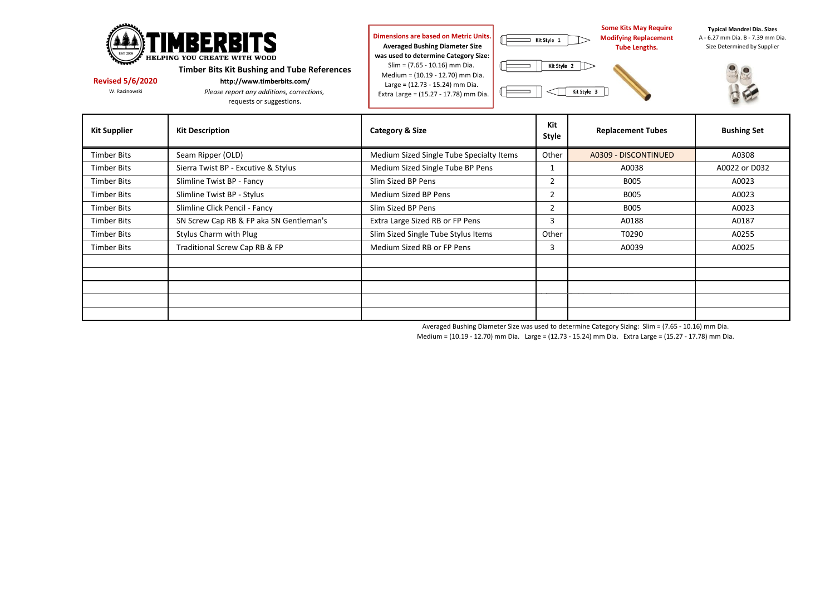| <b>TIMBERBITS</b><br><b>EST 200</b><br>HELPING YOU CREATE WITH WOOD<br><b>Timber Bits Kit Bushing and Tube References</b><br><b>Revised 5/6/2020</b><br>http://www.timberbits.com/<br>W. Racinowski<br>Please report any additions, corrections,<br>requests or suggestions. |                                         | Dimensions are based on Metric Units.<br><b>Averaged Bushing Diameter Size</b><br>was used to determine Category Size:<br>Slim = (7.65 - 10.16) mm Dia.<br>Medium = (10.19 - 12.70) mm Dia.<br>Large = (12.73 - 15.24) mm Dia.<br>Extra Large = (15.27 - 17.78) mm Dia. | Kit Style 1<br>Kit Style 2 | <b>Some Kits May Require</b><br><b>Modifying Replacement</b><br><b>Tube Lengths.</b><br>Kit Style 3 | <b>Typical Mandrel Dia. Sizes</b><br>A - 6.27 mm Dia, B - 7.39 mm Dia<br>Size Determined by Supplier |  |  |
|------------------------------------------------------------------------------------------------------------------------------------------------------------------------------------------------------------------------------------------------------------------------------|-----------------------------------------|-------------------------------------------------------------------------------------------------------------------------------------------------------------------------------------------------------------------------------------------------------------------------|----------------------------|-----------------------------------------------------------------------------------------------------|------------------------------------------------------------------------------------------------------|--|--|
| <b>Kit Supplier</b>                                                                                                                                                                                                                                                          | <b>Kit Description</b>                  | Category & Size                                                                                                                                                                                                                                                         | Kit<br>Style               | <b>Replacement Tubes</b>                                                                            | <b>Bushing Set</b>                                                                                   |  |  |
| <b>Timber Bits</b>                                                                                                                                                                                                                                                           | Seam Ripper (OLD)                       | Medium Sized Single Tube Specialty Items                                                                                                                                                                                                                                | Other                      | A0309 - DISCONTINUED                                                                                | A0308                                                                                                |  |  |
| <b>Timber Bits</b>                                                                                                                                                                                                                                                           | Sierra Twist BP - Excutive & Stylus     | Medium Sized Single Tube BP Pens                                                                                                                                                                                                                                        |                            | A0038                                                                                               | A0022 or D032                                                                                        |  |  |
| <b>Timber Bits</b>                                                                                                                                                                                                                                                           | Slimline Twist BP - Fancy               | Slim Sized BP Pens                                                                                                                                                                                                                                                      |                            | <b>B005</b>                                                                                         | A0023                                                                                                |  |  |
| <b>Timber Bits</b>                                                                                                                                                                                                                                                           | Slimline Twist BP - Stylus              | Medium Sized BP Pens                                                                                                                                                                                                                                                    |                            | <b>B005</b>                                                                                         | A0023                                                                                                |  |  |
| <b>Timber Bits</b>                                                                                                                                                                                                                                                           | Slimline Click Pencil - Fancy           | Slim Sized BP Pens                                                                                                                                                                                                                                                      |                            | <b>B005</b>                                                                                         | A0023                                                                                                |  |  |
| <b>Timber Bits</b>                                                                                                                                                                                                                                                           | SN Screw Cap RB & FP aka SN Gentleman's | Extra Large Sized RB or FP Pens                                                                                                                                                                                                                                         | 3                          | A0188                                                                                               | A0187                                                                                                |  |  |

Timber Bits Stylus Charm with Plug Sum Sized Single Tube Stylus Items Other T0290 T0290 A0255 Timber Bits Traditional Screw Cap RB & FP Medium Sized RB or FP Pens 3 A0039 A0025

Averaged Bushing Diameter Size was used to determine Category Sizing: Slim = (7.65 - 10.16) mm Dia.

Medium = (10.19 - 12.70) mm Dia. Large = (12.73 - 15.24) mm Dia. Extra Large = (15.27 - 17.78) mm Dia.